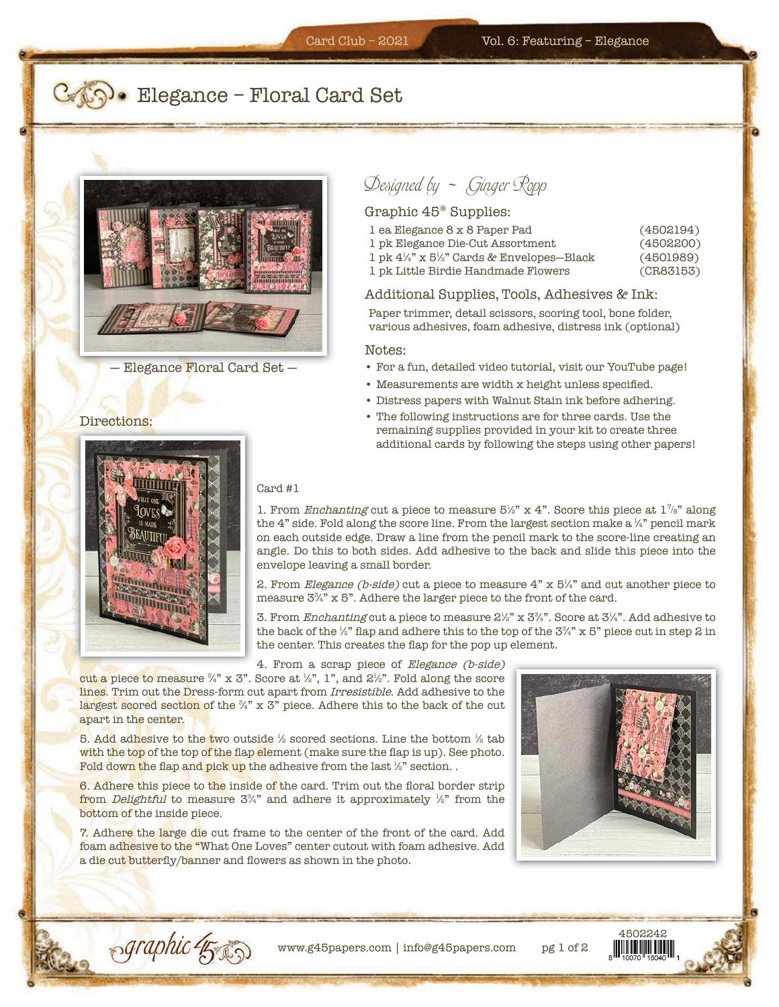# Elegance – Floral Card Set



— Elegance Floral Card Set —

### Directions:

### Card #1

1. From *Enchanting* cut a piece to measure  $5\frac{1}{2}$  x 4". Score this piece at  $1\frac{7}{8}$ " along the  $4$ " side. Fold along the score line. From the largest section make a  $\frac{1}{4}$ " pencil mark on each outside edge. Draw a line from the pencil mark to the score-line creating an angle. Do this to both sides. Add adhesive to the back and slide this piece into the envelope leaving a small border.

2. From Elegance (b-side) cut a piece to measure  $4" \times 5\frac{1}{4"}$  and cut another piece to measure 3¾" x 5". Adhere the larger piece to the front of the card.

3. From *Enchanting* cut a piece to measure  $2\frac{1}{2}$  x  $3\frac{3}{4}$ . Score at  $3\frac{1}{4}$ . Add adhesive to the back of the  $\frac{1}{2}$ " flap and adhere this to the top of the  $3\frac{3}{4}$ " x 5" piece cut in step 2 in the center. This creates the flap for the pop up element.

4. From a scrap piece of Elegance (b-side)

cut a piece to measure  $\frac{3}{4}$ " x 3". Score at  $\frac{1}{2}$ ", 1", and  $2\frac{1}{2}$ ". Fold along the score lines. Trim out the Dress-form cut apart from Irresistible. Add adhesive to the largest scored section of the  $\frac{3}{4}$ " x 3" piece. Adhere this to the back of the cut apart in the center.

5. Add adhesive to the two outside ½ scored sections. Line the bottom ½ tab with the top of the top of the flap element (make sure the flap is up). See photo. Fold down the flap and pick up the adhesive from the last  $\frac{1}{2}$ " section..

6. Adhere this piece to the inside of the card. Trim out the floral border strip from *Delightful* to measure  $3\frac{3}{4}$ " and adhere it approximately  $\frac{1}{2}$ " from the bottom of the inside piece.

7. Adhere the large die cut frame to the center of the front of the card. Add foam adhesive to the "What One Loves" center cutout with foam adhesive. Add a die cut butterfly/banner and flowers as shown in the photo.



4502242

ographic 45 (5) www.g45papers.com | info@g45papers.com pg 1 of 2



Paper trimmer, detail scissors, scoring tool, bone folder, various adhesives, foam adhesive, distress ink (optional)

1 ea Elegance 8 x 8 Paper Pad (4502194) 1 pk Elegance Die-Cut Assortment (4502200)

#### Notes:

- For a fun, detailed video tutorial, visit our YouTube page!
- Measurements are width x height unless specified.

 $Designed by ~ Cinger Ropp$ 

Graphic 45® Supplies:

- Distress papers with Walnut Stain ink before adhering.
- The following instructions are for three cards. Use the remaining supplies provided in your kit to create three additional cards by following the steps using other papers!